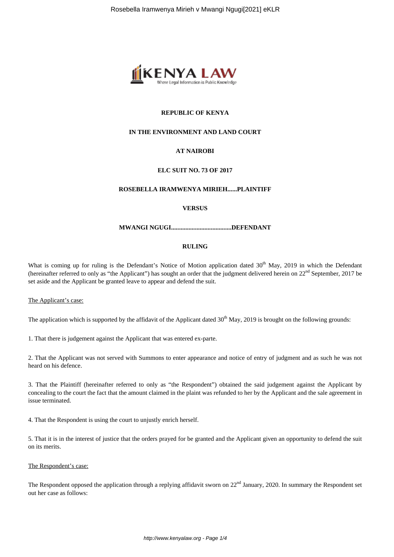

# **REPUBLIC OF KENYA**

### **IN THE ENVIRONMENT AND LAND COURT**

# **AT NAIROBI**

# **ELC SUIT NO. 73 OF 2017**

#### **ROSEBELLA IRAMWENYA MIRIEH......PLAINTIFF**

#### **VERSUS**

#### **MWANGI NGUGI......................................DEFENDANT**

#### **RULING**

What is coming up for ruling is the Defendant's Notice of Motion application dated  $30<sup>th</sup>$  May, 2019 in which the Defendant (hereinafter referred to only as "the Applicant") has sought an order that the judgment delivered herein on  $22<sup>nd</sup>$  September, 2017 be set aside and the Applicant be granted leave to appear and defend the suit.

#### The Applicant's case:

The application which is supported by the affidavit of the Applicant dated  $30<sup>th</sup>$  May, 2019 is brought on the following grounds:

1. That there is judgement against the Applicant that was entered ex-parte.

2. That the Applicant was not served with Summons to enter appearance and notice of entry of judgment and as such he was not heard on his defence.

3. That the Plaintiff (hereinafter referred to only as "the Respondent") obtained the said judgement against the Applicant by concealing to the court the fact that the amount claimed in the plaint was refunded to her by the Applicant and the sale agreement in issue terminated.

4. That the Respondent is using the court to unjustly enrich herself.

5. That it is in the interest of justice that the orders prayed for be granted and the Applicant given an opportunity to defend the suit on its merits.

### The Respondent's case:

The Respondent opposed the application through a replying affidavit sworn on  $22<sup>nd</sup>$  January, 2020. In summary the Respondent set out her case as follows: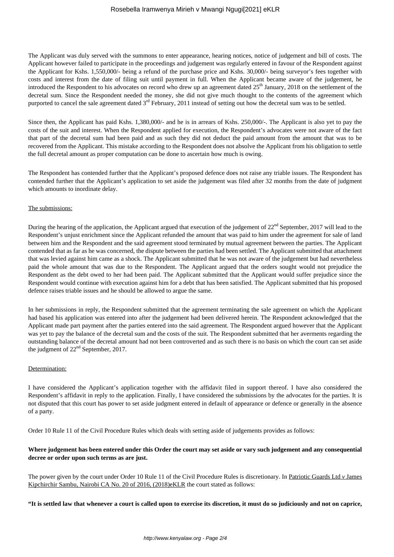The Applicant was duly served with the summons to enter appearance, hearing notices, notice of judgement and bill of costs. The Applicant however failed to participate in the proceedings and judgement was regularly entered in favour of the Respondent against the Applicant for Kshs. 1,550,000/- being a refund of the purchase price and Kshs. 30,000/- being surveyor's fees together with costs and interest from the date of filing suit until payment in full. When the Applicant became aware of the judgement, he introduced the Respondent to his advocates on record who drew up an agreement dated  $25<sup>th</sup>$  January, 2018 on the settlement of the decretal sum. Since the Respondent needed the money, she did not give much thought to the contents of the agreement which purported to cancel the sale agreement dated  $3<sup>rd</sup>$  February, 2011 instead of setting out how the decretal sum was to be settled.

Since then, the Applicant has paid Kshs. 1,380,000/- and he is in arrears of Kshs. 250,000/-. The Applicant is also yet to pay the costs of the suit and interest. When the Respondent applied for execution, the Respondent's advocates were not aware of the fact that part of the decretal sum had been paid and as such they did not deduct the paid amount from the amount that was to be recovered from the Applicant. This mistake according to the Respondent does not absolve the Applicant from his obligation to settle the full decretal amount as proper computation can be done to ascertain how much is owing.

The Respondent has contended further that the Applicant's proposed defence does not raise any triable issues. The Respondent has contended further that the Applicant's application to set aside the judgement was filed after 32 months from the date of judgment which amounts to inordinate delay.

#### The submissions:

During the hearing of the application, the Applicant argued that execution of the judgement of 22<sup>nd</sup> September, 2017 will lead to the Respondent's unjust enrichment since the Applicant refunded the amount that was paid to him under the agreement for sale of land between him and the Respondent and the said agreement stood terminated by mutual agreement between the parties. The Applicant contended that as far as he was concerned, the dispute between the parties had been settled. The Applicant submitted that attachment that was levied against him came as a shock. The Applicant submitted that he was not aware of the judgement but had nevertheless paid the whole amount that was due to the Respondent. The Applicant argued that the orders sought would not prejudice the Respondent as the debt owed to her had been paid. The Applicant submitted that the Applicant would suffer prejudice since the Respondent would continue with execution against him for a debt that has been satisfied. The Applicant submitted that his proposed defence raises triable issues and he should be allowed to argue the same.

In her submissions in reply, the Respondent submitted that the agreement terminating the sale agreement on which the Applicant had based his application was entered into after the judgement had been delivered herein. The Respondent acknowledged that the Applicant made part payment after the parties entered into the said agreement. The Respondent argued however that the Applicant was yet to pay the balance of the decretal sum and the costs of the suit. The Respondent submitted that her averments regarding the outstanding balance of the decretal amount had not been controverted and as such there is no basis on which the court can set aside the judgment of  $22<sup>nd</sup>$  September, 2017.

#### Determination:

I have considered the Applicant's application together with the affidavit filed in support thereof. I have also considered the Respondent's affidavit in reply to the application. Finally, I have considered the submissions by the advocates for the parties. It is not disputed that this court has power to set aside judgment entered in default of appearance or defence or generally in the absence of a party.

Order 10 Rule 11 of the Civil Procedure Rules which deals with setting aside of judgements provides as follows:

# **Where judgement has been entered under this Order the court may set aside or vary such judgement and any consequential decree or order upon such terms as are just.**

The power given by the court under Order 10 Rule 11 of the Civil Procedure Rules is discretionary. In Patriotic Guards Ltd *v* James Kipchirchir Sambu, Nairobi CA No. 20 of 2016, (2018)eKLR the court stated as follows:

**"It is settled law that whenever a court is called upon to exercise its discretion, it must do so judiciously and not on caprice,**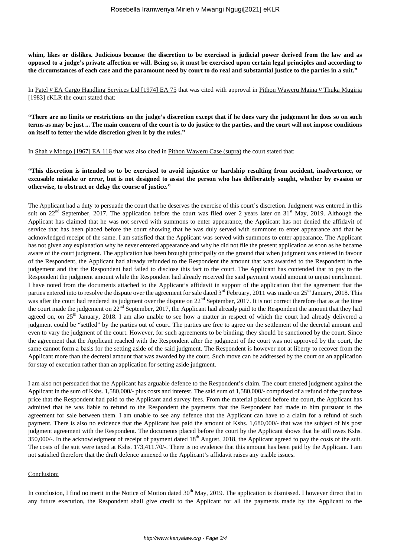**whim, likes or dislikes. Judicious because the discretion to be exercised is judicial power derived from the law and as opposed to a judge's private affection or will. Being so, it must be exercised upon certain legal principles and according to the circumstances of each case and the paramount need by court to do real and substantial justice to the parties in a suit."**

In Patel *v* EA Cargo Handling Services Ltd [1974] EA 75 that was cited with approval in Pithon Waweru Maina *v* Thuka Mugiria [1983] eKLR the court stated that:

**"There are no limits or restrictions on the judge's discretion except that if he does vary the judgement he does so on such terms as may be just ... The main concern of the court is to do justice to the parties, and the court will not impose conditions on itself to fetter the wide discretion given it by the rules."**

In Shah *v* Mbogo [1967] EA 116 that was also cited in Pithon Waweru Case (supra) the court stated that:

**"This discretion is intended so to be exercised to avoid injustice or hardship resulting from accident, inadvertence, or excusable mistake or error, but is not designed to assist the person who has deliberately sought, whether by evasion or otherwise, to obstruct or delay the course of justice."** 

The Applicant had a duty to persuade the court that he deserves the exercise of this court's discretion. Judgment was entered in this suit on 22<sup>nd</sup> September, 2017. The application before the court was filed over 2 years later on  $31<sup>st</sup>$  May, 2019. Although the Applicant has claimed that he was not served with summons to enter appearance, the Applicant has not denied the affidavit of service that has been placed before the court showing that he was duly served with summons to enter appearance and that he acknowledged receipt of the same. I am satisfied that the Applicant was served with summons to enter appearance. The Applicant has not given any explanation why he never entered appearance and why he did not file the present application as soon as he became aware of the court judgment. The application has been brought principally on the ground that when judgment was entered in favour of the Respondent, the Applicant had already refunded to the Respondent the amount that was awarded to the Respondent in the judgement and that the Respondent had failed to disclose this fact to the court. The Applicant has contended that to pay to the Respondent the judgment amount while the Respondent had already received the said payment would amount to unjust enrichment. I have noted from the documents attached to the Applicant's affidavit in support of the application that the agreement that the parties entered into to resolve the dispute over the agreement for sale dated 3<sup>rd</sup> February, 2011 was made on 25<sup>th</sup> January, 2018. This was after the court had rendered its judgment over the dispute on 22<sup>nd</sup> September, 2017. It is not correct therefore that as at the time the court made the judgement on 22<sup>nd</sup> September, 2017, the Applicant had already paid to the Respondent the amount that they had agreed on, on  $25<sup>th</sup>$  January, 2018. I am also unable to see how a matter in respect of which the court had already delivered a judgment could be "settled" by the parties out of court. The parties are free to agree on the settlement of the decretal amount and even to vary the judgment of the court. However, for such agreements to be binding, they should be sanctioned by the court. Since the agreement that the Applicant reached with the Respondent after the judgment of the court was not approved by the court, the same cannot form a basis for the setting aside of the said judgment. The Respondent is however not at liberty to recover from the Applicant more than the decretal amount that was awarded by the court. Such move can be addressed by the court on an application for stay of execution rather than an application for setting aside judgment.

I am also not persuaded that the Applicant has arguable defence to the Respondent's claim. The court entered judgment against the Applicant in the sum of Kshs. 1,580,000/- plus costs and interest. The said sum of 1,580,000/- comprised of a refund of the purchase price that the Respondent had paid to the Applicant and survey fees. From the material placed before the court, the Applicant has admitted that he was liable to refund to the Respondent the payments that the Respondent had made to him pursuant to the agreement for sale between them. I am unable to see any defence that the Applicant can have to a claim for a refund of such payment. There is also no evidence that the Applicant has paid the amount of Kshs. 1,680,000/- that was the subject of his post judgment agreement with the Respondent. The documents placed before the court by the Applicant shows that he still owes Kshs. 350,000/-. In the acknowledgment of receipt of payment dated 18<sup>th</sup> August, 2018, the Applicant agreed to pay the costs of the suit. The costs of the suit were taxed at Kshs. 173,411.70/-. There is no evidence that this amount has been paid by the Applicant. I am not satisfied therefore that the draft defence annexed to the Applicant's affidavit raises any triable issues.

#### Conclusion:

In conclusion, I find no merit in the Notice of Motion dated  $30<sup>th</sup>$  May, 2019. The application is dismissed. I however direct that in any future execution, the Respondent shall give credit to the Applicant for all the payments made by the Applicant to the